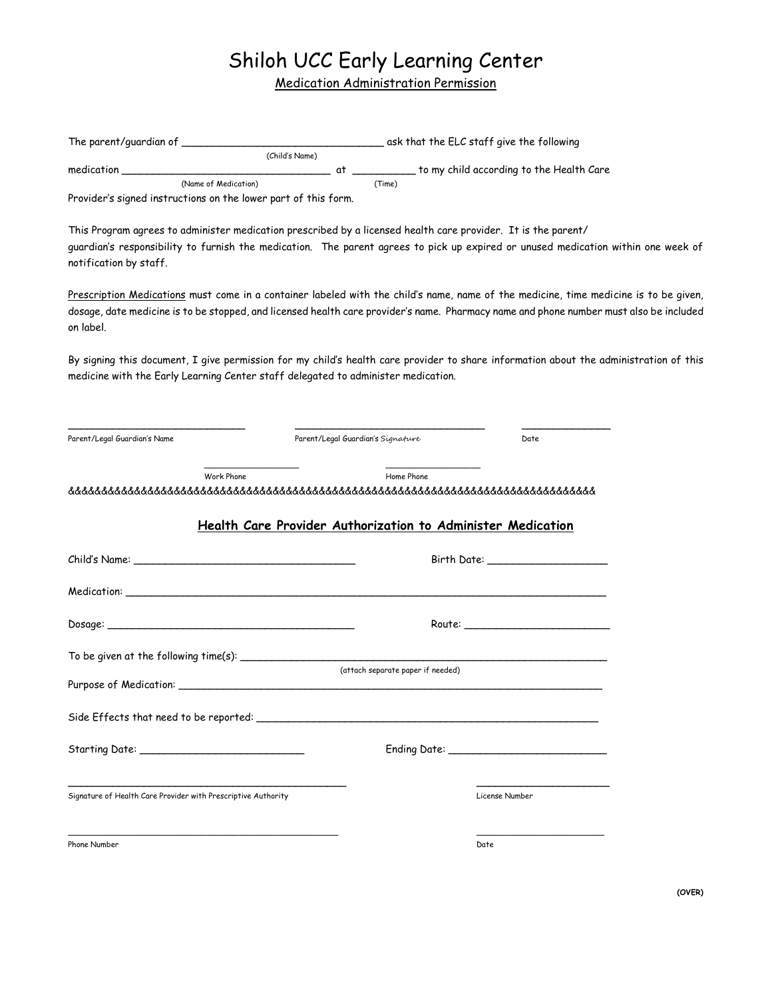## Shiloh UCC Early Learning Center

Medication Administration Permission

|                                                               | (Child's Name)                                                                                                                                                                                                                                                                 |                                   |                                   |                                                           |  |
|---------------------------------------------------------------|--------------------------------------------------------------------------------------------------------------------------------------------------------------------------------------------------------------------------------------------------------------------------------|-----------------------------------|-----------------------------------|-----------------------------------------------------------|--|
|                                                               |                                                                                                                                                                                                                                                                                |                                   |                                   | at _____________ to my child according to the Health Care |  |
|                                                               | (Name of Medication)<br>Provider's signed instructions on the lower part of this form.                                                                                                                                                                                         | (Time)                            |                                   |                                                           |  |
| notification by staff.                                        | This Program agrees to administer medication prescribed by a licensed health care provider. It is the parent/<br>guardian's responsibility to furnish the medication. The parent agrees to pick up expired or unused medication within one week of                             |                                   |                                   |                                                           |  |
| on label.                                                     | Prescription Medications must come in a container labeled with the child's name, name of the medicine, time medicine is to be given,<br>dosage, date medicine is to be stopped, and licensed health care provider's name. Pharmacy name and phone number must also be included |                                   |                                   |                                                           |  |
|                                                               | By signing this document, I give permission for my child's health care provider to share information about the administration of this<br>medicine with the Early Learning Center staff delegated to administer medication.                                                     |                                   |                                   |                                                           |  |
| Parent/Legal Guardian's Name                                  |                                                                                                                                                                                                                                                                                | Parent/Legal Guardian's Signature |                                   | Date                                                      |  |
|                                                               | Health Care Provider Authorization to Administer Medication                                                                                                                                                                                                                    |                                   |                                   |                                                           |  |
|                                                               |                                                                                                                                                                                                                                                                                |                                   |                                   |                                                           |  |
|                                                               |                                                                                                                                                                                                                                                                                |                                   |                                   |                                                           |  |
|                                                               |                                                                                                                                                                                                                                                                                |                                   |                                   |                                                           |  |
|                                                               |                                                                                                                                                                                                                                                                                |                                   |                                   |                                                           |  |
|                                                               |                                                                                                                                                                                                                                                                                |                                   | (attach separate paper if needed) |                                                           |  |
|                                                               | Side Effects that need to be reported: __________                                                                                                                                                                                                                              |                                   |                                   |                                                           |  |
|                                                               |                                                                                                                                                                                                                                                                                |                                   |                                   |                                                           |  |
| Signature of Health Care Provider with Prescriptive Authority |                                                                                                                                                                                                                                                                                |                                   |                                   | License Number                                            |  |
| Phone Number                                                  |                                                                                                                                                                                                                                                                                |                                   |                                   | Date                                                      |  |